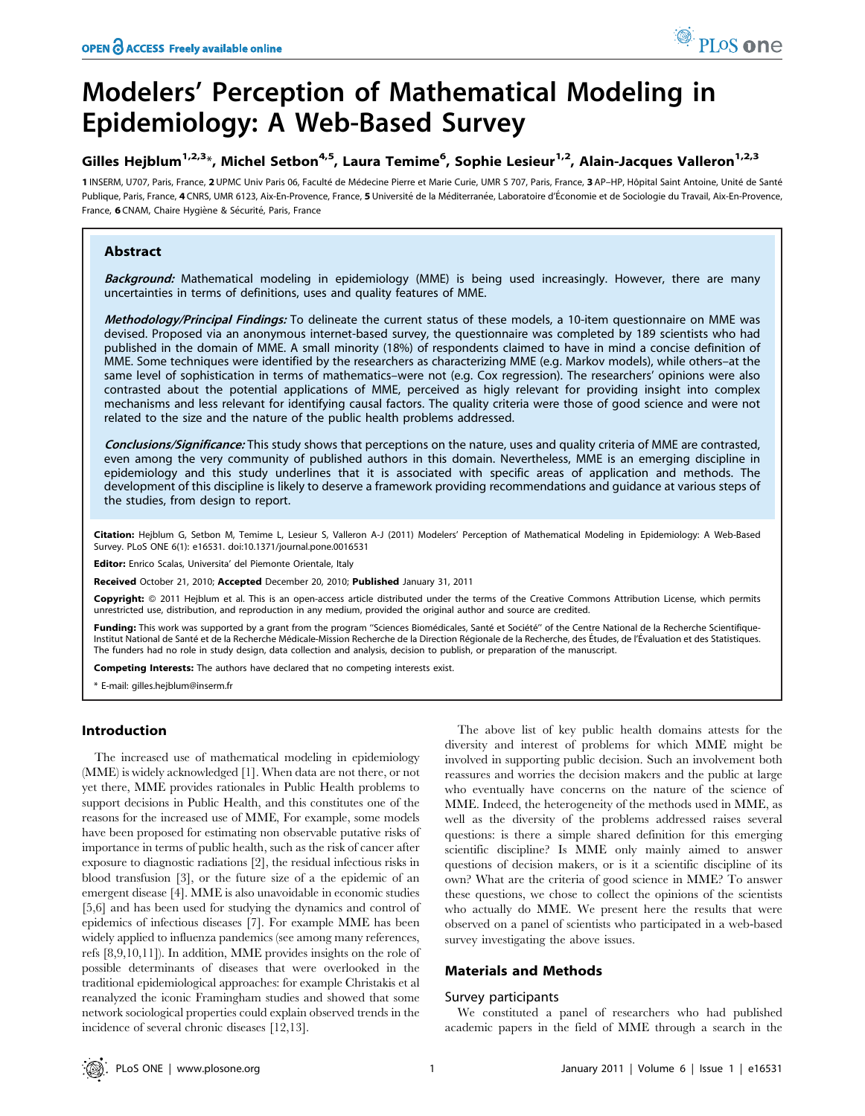# Modelers' Perception of Mathematical Modeling in Epidemiology: A Web-Based Survey

## Gilles Hejblum<sup>1,2,3</sup>\*, Michel Setbon<sup>4,5</sup>, Laura Temime<sup>6</sup>, Sophie Lesieur<sup>1,2</sup>, Alain-Jacques Valleron<sup>1,2,3</sup>

1 INSERM, U707, Paris, France, 2 UPMC Univ Paris 06, Faculté de Médecine Pierre et Marie Curie, UMR S 707, Paris, France, 3 AP–HP, Hôpital Saint Antoine, Unité de Santé Publique, Paris, France, 4 CNRS, UMR 6123, Aix-En-Provence, France, 5 Université de la Méditerranée, Laboratoire d'Économie et de Sociologie du Travail, Aix-En-Provence, France, 6 CNAM, Chaire Hygiène & Sécurité, Paris, France

## Abstract

Background: Mathematical modeling in epidemiology (MME) is being used increasingly. However, there are many uncertainties in terms of definitions, uses and quality features of MME.

Methodology/Principal Findings: To delineate the current status of these models, a 10-item questionnaire on MME was devised. Proposed via an anonymous internet-based survey, the questionnaire was completed by 189 scientists who had published in the domain of MME. A small minority (18%) of respondents claimed to have in mind a concise definition of MME. Some techniques were identified by the researchers as characterizing MME (e.g. Markov models), while others–at the same level of sophistication in terms of mathematics–were not (e.g. Cox regression). The researchers' opinions were also contrasted about the potential applications of MME, perceived as higly relevant for providing insight into complex mechanisms and less relevant for identifying causal factors. The quality criteria were those of good science and were not related to the size and the nature of the public health problems addressed.

Conclusions/Significance: This study shows that perceptions on the nature, uses and quality criteria of MME are contrasted, even among the very community of published authors in this domain. Nevertheless, MME is an emerging discipline in epidemiology and this study underlines that it is associated with specific areas of application and methods. The development of this discipline is likely to deserve a framework providing recommendations and guidance at various steps of the studies, from design to report.

Citation: Hejblum G, Setbon M, Temime L, Lesieur S, Valleron A-J (2011) Modelers' Perception of Mathematical Modeling in Epidemiology: A Web-Based Survey. PLoS ONE 6(1): e16531. doi:10.1371/journal.pone.0016531

Editor: Enrico Scalas, Universita' del Piemonte Orientale, Italy

Received October 21, 2010; Accepted December 20, 2010; Published January 31, 2011

Copyright: © 2011 Hejblum et al. This is an open-access article distributed under the terms of the Creative Commons Attribution License, which permits unrestricted use, distribution, and reproduction in any medium, provided the original author and source are credited.

Funding: This work was supported by a grant from the program "Sciences Biomédicales, Santé et Société" of the Centre National de la Recherche Scientifique-Institut National de Santé et de la Recherche Médicale-Mission Recherche de la Direction Régionale de la Recherche, des Études, de l'Évaluation et des Statistiques. The funders had no role in study design, data collection and analysis, decision to publish, or preparation of the manuscript.

Competing Interests: The authors have declared that no competing interests exist.

\* E-mail: gilles.hejblum@inserm.fr

## Introduction

The increased use of mathematical modeling in epidemiology (MME) is widely acknowledged [1]. When data are not there, or not yet there, MME provides rationales in Public Health problems to support decisions in Public Health, and this constitutes one of the reasons for the increased use of MME, For example, some models have been proposed for estimating non observable putative risks of importance in terms of public health, such as the risk of cancer after exposure to diagnostic radiations [2], the residual infectious risks in blood transfusion [3], or the future size of a the epidemic of an emergent disease [4]. MME is also unavoidable in economic studies [5,6] and has been used for studying the dynamics and control of epidemics of infectious diseases [7]. For example MME has been widely applied to influenza pandemics (see among many references, refs [8,9,10,11]). In addition, MME provides insights on the role of possible determinants of diseases that were overlooked in the traditional epidemiological approaches: for example Christakis et al reanalyzed the iconic Framingham studies and showed that some network sociological properties could explain observed trends in the incidence of several chronic diseases [12,13].

The above list of key public health domains attests for the diversity and interest of problems for which MME might be involved in supporting public decision. Such an involvement both reassures and worries the decision makers and the public at large who eventually have concerns on the nature of the science of MME. Indeed, the heterogeneity of the methods used in MME, as well as the diversity of the problems addressed raises several questions: is there a simple shared definition for this emerging scientific discipline? Is MME only mainly aimed to answer questions of decision makers, or is it a scientific discipline of its own? What are the criteria of good science in MME? To answer these questions, we chose to collect the opinions of the scientists who actually do MME. We present here the results that were observed on a panel of scientists who participated in a web-based survey investigating the above issues.

## Materials and Methods

#### Survey participants

We constituted a panel of researchers who had published academic papers in the field of MME through a search in the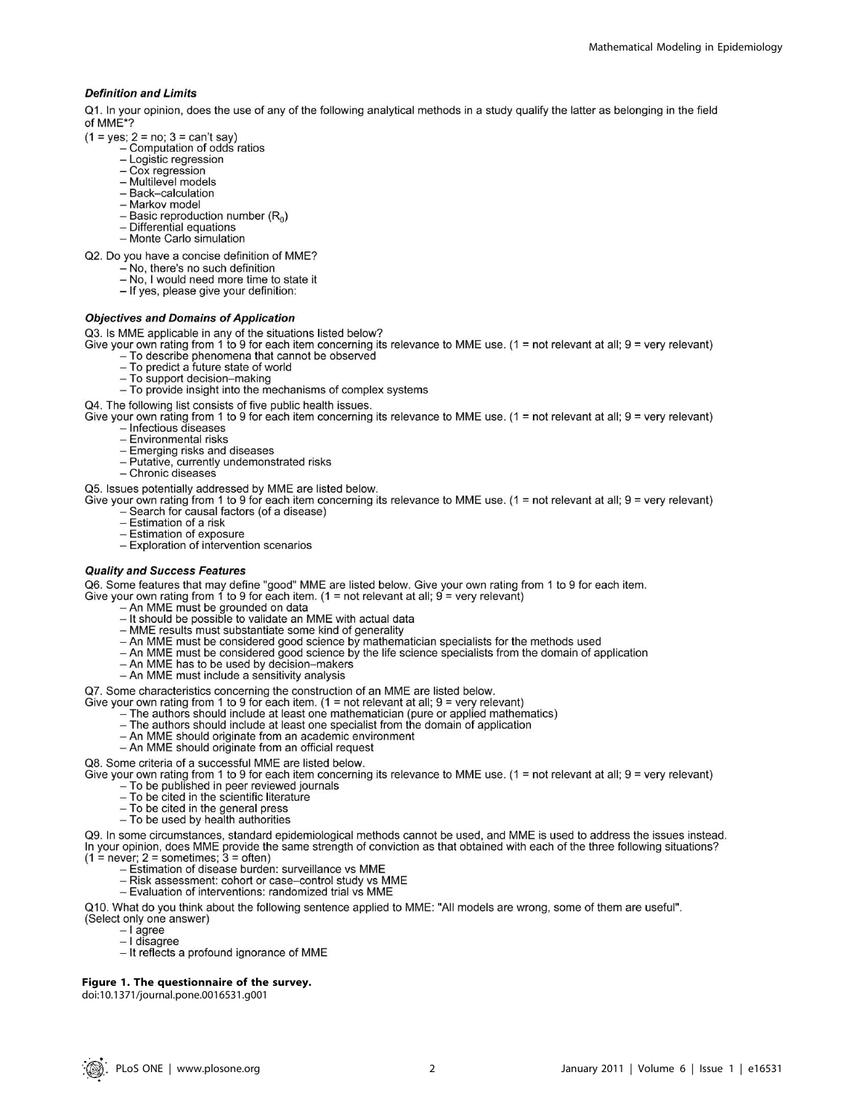#### **Definition and Limits**

Q1. In your opinion, does the use of any of the following analytical methods in a study qualify the latter as belonging in the field of MME\*?

- $(1 = yes; 2 = no; 3 = can't say)$ 
	- Computation of odds ratios
		- Logistic regression
		- $-$  Cox regression
		- Multilevel models
		- Back-calculation
		- Markov model
		- Basic reproduction number  $(R_0)$
		- Differential equations
		- Monte Carlo simulation

Q2. Do you have a concise definition of MME?

- $-$  No, there's no such definition
- No, I would need more time to state it
- If yes, please give your definition:

## **Objectives and Domains of Application**

Q3. Is MME applicable in any of the situations listed below?<br>Give your own rating from 1 to 9 for each item concerning its relevance to MME use. (1 = not relevant at all; 9 = very relevant) - To describe phenomena that cannot be observed

- To predict a future state of world
- To support decision-making
- To provide insight into the mechanisms of complex systems

Q4. The following list consists of five public health issues.

Give your own rating from 1 to 9 for each item concerning its relevance to MME use. (1 = not relevant at all; 9 = very relevant)

- Infectious diseases
- Environmental risks
- Emerging risks and diseases - Putative, currently undemonstrated risks
- Chronic diseases
- 

Q5. Issues potentially addressed by MME are listed below.

Give your own rating from 1 to 9 for each item concerning its relevance to MME use. (1 = not relevant at all; 9 = very relevant)<br>- Search for causal factors (of a disease)

- Estimation of a risk
- Estimation of exposure
- Exploration of intervention scenarios

#### **Quality and Success Features**

Q6. Some features that may define "good" MME are listed below. Give your own rating from 1 to 9 for each item.<br>Give your own rating from 1 to 9 for each item. (1 = not relevant at all; 9 = very relevant)

- 
- An MME must be grounded on data<br>- It should be possible to validate an MME with actual data<br>- MME results must substantiate some kind of generality
- 
- An MME must be considered good science by mathematician specialists for the methods used
- An MME must be considered good science by the life science specialists from the domain of application
- An MME has to be used by decision-makers
- An MME must include a sensitivity analysis

Q7. Some characteristics concerning the construction of an MME are listed below.

Give your own rating from 1 to 9 for each item.  $(1 = not$  relevant at all;  $9 = very$  relevant)

- The authors should include at least one mathematician (pure or applied mathematics)
- The authors should include at least one specialist from the domain of application
- An MME should originate from an academic environment
- An MME should originate from an official request
- Q8. Some criteria of a successful MME are listed below.

Give your own rating from 1 to 9 for each item concerning its relevance to MME use. (1 = not relevant at all; 9 = very relevant)<br>- To be published in peer reviewed journals

- 
- 
- 
- $\overline{10}$  be cited in the scientific literature<br> $\overline{10}$  be cited in the general press<br> $\overline{10}$  be used by health authorities

Q9. In some circumstances, standard epidemiological methods cannot be used, and MME is used to address the issues instead. In your opinion, does MME provide the same strength of conviction as that obtained with each of the three following situations?  $(1 = never; 2 = sometimes; 3 = often)$ 

- Estimation of disease burden: surveillance vs MME
- Risk assessment: cohort or case-control study vs MME
- Evaluation of interventions: randomized trial vs MME

Q10. What do you think about the following sentence applied to MME: "All models are wrong, some of them are useful". (Select only one answer)

- $-1$  agree
- I disagree
- It reflects a profound ignorance of MME

#### Figure 1. The questionnaire of the survey.

doi:10.1371/journal.pone.0016531.g001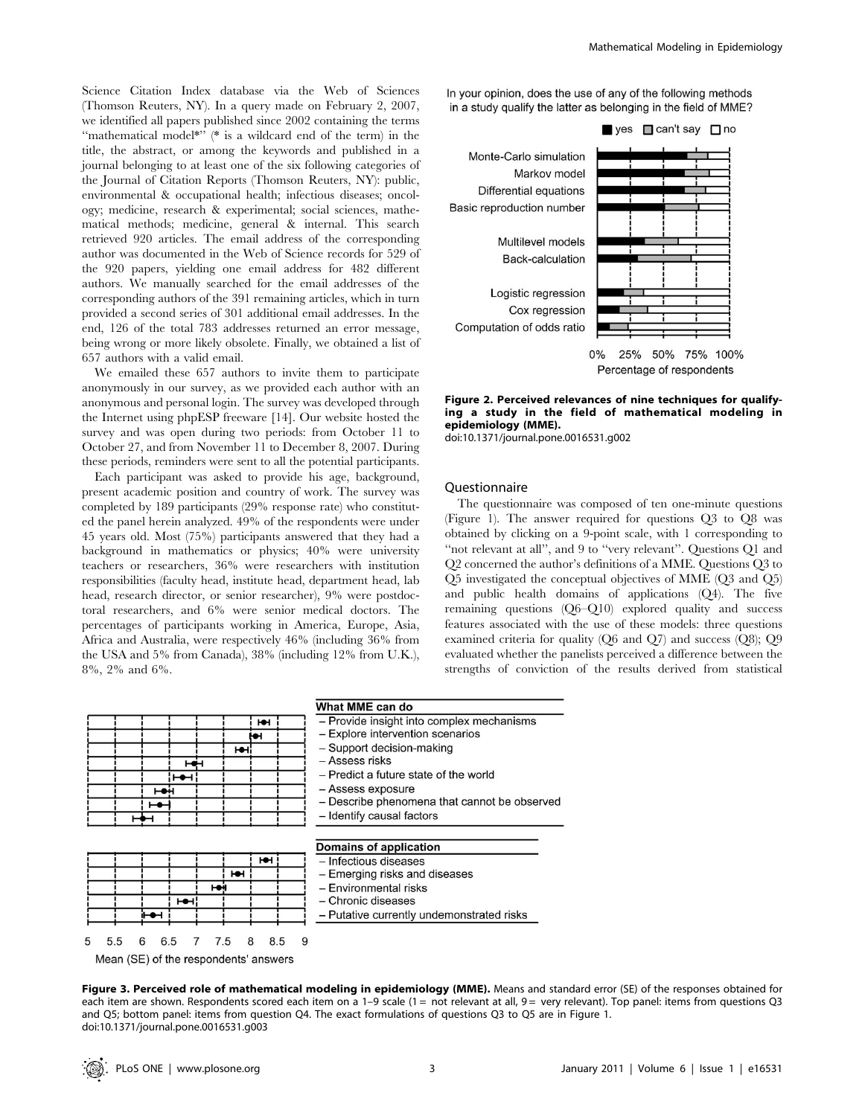Science Citation Index database via the Web of Sciences (Thomson Reuters, NY). In a query made on February 2, 2007, we identified all papers published since 2002 containing the terms "mathematical model\*" (\* is a wildcard end of the term) in the title, the abstract, or among the keywords and published in a journal belonging to at least one of the six following categories of the Journal of Citation Reports (Thomson Reuters, NY): public, environmental & occupational health; infectious diseases; oncology; medicine, research & experimental; social sciences, mathematical methods; medicine, general & internal. This search retrieved 920 articles. The email address of the corresponding author was documented in the Web of Science records for 529 of the 920 papers, yielding one email address for 482 different authors. We manually searched for the email addresses of the corresponding authors of the 391 remaining articles, which in turn provided a second series of 301 additional email addresses. In the end, 126 of the total 783 addresses returned an error message, being wrong or more likely obsolete. Finally, we obtained a list of 657 authors with a valid email.

We emailed these 657 authors to invite them to participate anonymously in our survey, as we provided each author with an anonymous and personal login. The survey was developed through the Internet using phpESP freeware [14]. Our website hosted the survey and was open during two periods: from October 11 to October 27, and from November 11 to December 8, 2007. During these periods, reminders were sent to all the potential participants.

Each participant was asked to provide his age, background, present academic position and country of work. The survey was completed by 189 participants (29% response rate) who constituted the panel herein analyzed. 49% of the respondents were under 45 years old. Most (75%) participants answered that they had a background in mathematics or physics; 40% were university teachers or researchers, 36% were researchers with institution responsibilities (faculty head, institute head, department head, lab head, research director, or senior researcher), 9% were postdoctoral researchers, and 6% were senior medical doctors. The percentages of participants working in America, Europe, Asia, Africa and Australia, were respectively 46% (including 36% from the USA and 5% from Canada), 38% (including 12% from U.K.), 8%, 2% and 6%.

In your opinion, does the use of any of the following methods in a study qualify the latter as belonging in the field of MME?



Percentage of respondents

Figure 2. Perceived relevances of nine techniques for qualifying a study in the field of mathematical modeling in epidemiology (MME).

doi:10.1371/journal.pone.0016531.g002

## **Ouestionnaire**

The questionnaire was composed of ten one-minute questions (Figure 1). The answer required for questions Q3 to Q8 was obtained by clicking on a 9-point scale, with 1 corresponding to "not relevant at all", and 9 to "very relevant". Questions Q1 and Q2 concerned the author's definitions of a MME. Questions Q3 to Q5 investigated the conceptual objectives of MME (Q3 and Q5) and public health domains of applications (Q4). The five remaining questions (Q6–Q10) explored quality and success features associated with the use of these models: three questions examined criteria for quality (Q6 and Q7) and success (Q8); Q9 evaluated whether the panelists perceived a difference between the strengths of conviction of the results derived from statistical

|          |   |     |  |          |                       | What MME can do                              |
|----------|---|-----|--|----------|-----------------------|----------------------------------------------|
|          |   |     |  |          | ю                     | - Provide insight into complex mechanisms    |
|          |   |     |  |          | ы                     | - Explore intervention scenarios             |
|          |   |     |  | н        |                       | - Support decision-making                    |
|          |   |     |  |          |                       | – Assess risks                               |
|          |   | H   |  |          |                       | - Predict a future state of the world        |
|          |   |     |  |          |                       | - Assess exposure                            |
|          |   |     |  |          |                       | - Describe phenomena that cannot be observed |
|          |   |     |  |          |                       | - Identify causal factors                    |
|          |   |     |  |          |                       | Domains of application                       |
|          |   |     |  |          | ЮН                    | - Infectious diseases                        |
|          |   |     |  | юн       |                       | - Emerging risks and diseases                |
|          |   |     |  |          | - Environmental risks |                                              |
|          |   | н.  |  |          |                       | - Chronic diseases                           |
|          |   |     |  |          |                       | - Putative currently undemonstrated risks    |
|          |   |     |  |          |                       |                                              |
| 5<br>5.5 | 6 | 6.5 |  | 7.5<br>8 | 8.5                   | 9                                            |

Mean (SE) of the respondents' answers

Figure 3. Perceived role of mathematical modeling in epidemiology (MME). Means and standard error (SE) of the responses obtained for each item are shown. Respondents scored each item on a 1-9 scale (1 = not relevant at all, 9 = very relevant). Top panel: items from questions Q3 and Q5; bottom panel: items from question Q4. The exact formulations of questions Q3 to Q5 are in Figure 1. doi:10.1371/journal.pone.0016531.g003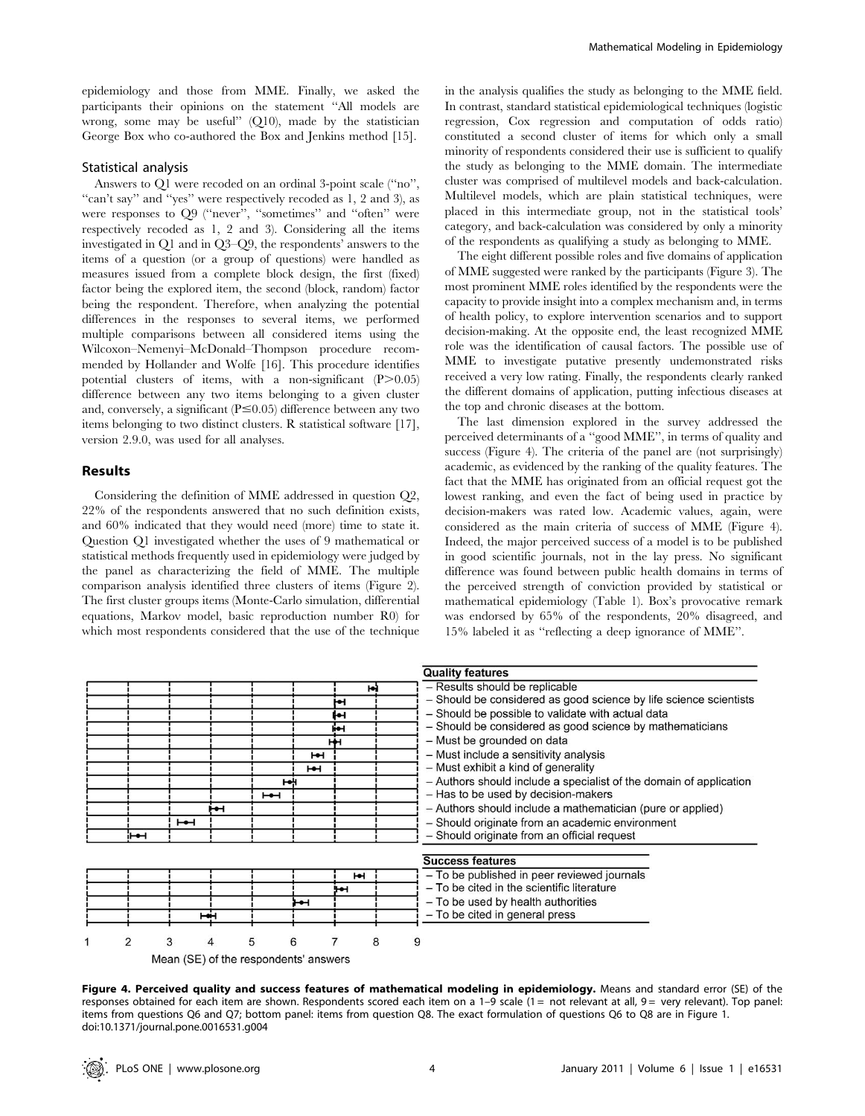epidemiology and those from MME. Finally, we asked the participants their opinions on the statement ''All models are wrong, some may be useful'' (Q10), made by the statistician George Box who co-authored the Box and Jenkins method [15].

## Statistical analysis

Answers to Q1 were recoded on an ordinal 3-point scale ("no", "can't say" and "yes" were respectively recoded as 1, 2 and 3), as were responses to Q9 ("never", "sometimes" and "often" were respectively recoded as 1, 2 and 3). Considering all the items investigated in Q1 and in Q3–Q9, the respondents' answers to the items of a question (or a group of questions) were handled as measures issued from a complete block design, the first (fixed) factor being the explored item, the second (block, random) factor being the respondent. Therefore, when analyzing the potential differences in the responses to several items, we performed multiple comparisons between all considered items using the Wilcoxon–Nemenyi–McDonald–Thompson procedure recommended by Hollander and Wolfe [16]. This procedure identifies potential clusters of items, with a non-significant  $(P>0.05)$ difference between any two items belonging to a given cluster and, conversely, a significant  $(P \le 0.05)$  difference between any two items belonging to two distinct clusters. R statistical software [17], version 2.9.0, was used for all analyses.

#### Results

Considering the definition of MME addressed in question Q2, 22% of the respondents answered that no such definition exists, and 60% indicated that they would need (more) time to state it. Question Q1 investigated whether the uses of 9 mathematical or statistical methods frequently used in epidemiology were judged by the panel as characterizing the field of MME. The multiple comparison analysis identified three clusters of items (Figure 2). The first cluster groups items (Monte-Carlo simulation, differential equations, Markov model, basic reproduction number R0) for which most respondents considered that the use of the technique

in the analysis qualifies the study as belonging to the MME field. In contrast, standard statistical epidemiological techniques (logistic regression, Cox regression and computation of odds ratio) constituted a second cluster of items for which only a small minority of respondents considered their use is sufficient to qualify the study as belonging to the MME domain. The intermediate cluster was comprised of multilevel models and back-calculation. Multilevel models, which are plain statistical techniques, were placed in this intermediate group, not in the statistical tools' category, and back-calculation was considered by only a minority of the respondents as qualifying a study as belonging to MME.

The eight different possible roles and five domains of application of MME suggested were ranked by the participants (Figure 3). The most prominent MME roles identified by the respondents were the capacity to provide insight into a complex mechanism and, in terms of health policy, to explore intervention scenarios and to support decision-making. At the opposite end, the least recognized MME role was the identification of causal factors. The possible use of MME to investigate putative presently undemonstrated risks received a very low rating. Finally, the respondents clearly ranked the different domains of application, putting infectious diseases at the top and chronic diseases at the bottom.

The last dimension explored in the survey addressed the perceived determinants of a ''good MME'', in terms of quality and success (Figure 4). The criteria of the panel are (not surprisingly) academic, as evidenced by the ranking of the quality features. The fact that the MME has originated from an official request got the lowest ranking, and even the fact of being used in practice by decision-makers was rated low. Academic values, again, were considered as the main criteria of success of MME (Figure 4). Indeed, the major perceived success of a model is to be published in good scientific journals, not in the lay press. No significant difference was found between public health domains in terms of the perceived strength of conviction provided by statistical or mathematical epidemiology (Table 1). Box's provocative remark was endorsed by 65% of the respondents, 20% disagreed, and 15% labeled it as ''reflecting a deep ignorance of MME''.

|      |   |   |                                       |                    |   |    | <b>Quality features</b>                                                                                                                                                              |  |  |  |
|------|---|---|---------------------------------------|--------------------|---|----|--------------------------------------------------------------------------------------------------------------------------------------------------------------------------------------|--|--|--|
|      |   |   |                                       |                    |   | юì | - Results should be replicable                                                                                                                                                       |  |  |  |
|      |   |   |                                       |                    | ы |    | - Should be considered as good science by life science scientists                                                                                                                    |  |  |  |
|      |   |   |                                       | ⊷<br>ŃН<br>нн<br>ы |   |    | - Should be possible to validate with actual data<br>- Should be considered as good science by mathematicians<br>- Must be grounded on data<br>- Must include a sensitivity analysis |  |  |  |
|      |   |   |                                       |                    |   |    |                                                                                                                                                                                      |  |  |  |
|      |   |   |                                       |                    |   |    |                                                                                                                                                                                      |  |  |  |
|      |   |   |                                       |                    |   |    |                                                                                                                                                                                      |  |  |  |
|      |   |   |                                       | H                  |   |    | - Must exhibit a kind of generality                                                                                                                                                  |  |  |  |
|      |   |   | بلعط                                  |                    |   |    | - Authors should include a specialist of the domain of application                                                                                                                   |  |  |  |
|      |   |   | ⊶                                     |                    |   |    | - Has to be used by decision-makers                                                                                                                                                  |  |  |  |
|      |   | ⊷ |                                       |                    |   |    | - Authors should include a mathematician (pure or applied)                                                                                                                           |  |  |  |
|      | H |   |                                       |                    |   |    | - Should originate from an academic environment                                                                                                                                      |  |  |  |
| i⊢⊷⊣ |   |   |                                       |                    |   |    | - Should originate from an official request                                                                                                                                          |  |  |  |
|      |   |   |                                       |                    |   |    |                                                                                                                                                                                      |  |  |  |
|      |   |   |                                       |                    |   |    | <b>Success features</b>                                                                                                                                                              |  |  |  |
|      |   |   |                                       |                    | ы |    | - To be published in peer reviewed journals                                                                                                                                          |  |  |  |
|      |   |   |                                       |                    | ℍ |    | - To be cited in the scientific literature                                                                                                                                           |  |  |  |
|      |   |   |                                       | ⊷                  |   |    | - To be used by health authorities                                                                                                                                                   |  |  |  |
|      |   |   |                                       |                    |   |    | - To be cited in general press                                                                                                                                                       |  |  |  |
|      |   |   |                                       |                    |   |    |                                                                                                                                                                                      |  |  |  |
|      | 3 |   | 5                                     | 6                  |   | 8  | 9                                                                                                                                                                                    |  |  |  |
|      |   |   | Mean (SE) of the respondents' answers |                    |   |    |                                                                                                                                                                                      |  |  |  |

Figure 4. Perceived quality and success features of mathematical modeling in epidemiology. Means and standard error (SE) of the responses obtained for each item are shown. Respondents scored each item on a 1–9 scale (1 = not relevant at all, 9 = very relevant). Top panel: items from questions Q6 and Q7; bottom panel: items from question Q8. The exact formulation of questions Q6 to Q8 are in Figure 1. doi:10.1371/journal.pone.0016531.g004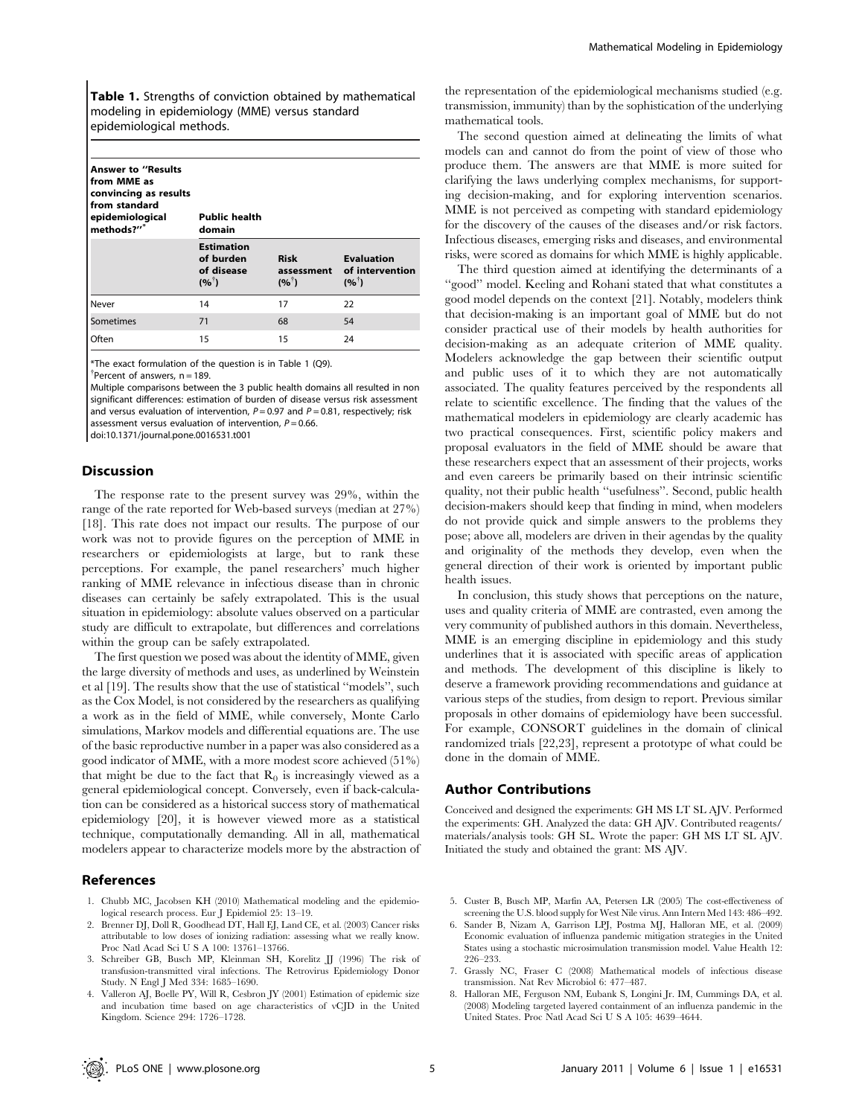Table 1. Strengths of conviction obtained by mathematical modeling in epidemiology (MME) versus standard epidemiological methods.

| <b>Answer to "Results</b><br>from MME as<br>convincing as results<br>from standard<br>epidemiological<br>methods?"* | <b>Public health</b><br>domain                                  |                                               |                                                         |  |  |  |
|---------------------------------------------------------------------------------------------------------------------|-----------------------------------------------------------------|-----------------------------------------------|---------------------------------------------------------|--|--|--|
|                                                                                                                     | <b>Estimation</b><br>of burden<br>of disease<br>$(%^{\dagger})$ | <b>Risk</b><br>assessment<br>$(96^{\dagger})$ | <b>Evaluation</b><br>of intervention<br>$(%^{\dagger})$ |  |  |  |
| Never                                                                                                               | 14                                                              | 17                                            | 22                                                      |  |  |  |
| Sometimes                                                                                                           | 71                                                              | 68                                            | 54                                                      |  |  |  |
| Often                                                                                                               | 15                                                              | 15                                            | 24                                                      |  |  |  |

\*The exact formulation of the question is in Table 1 (Q9).

<sup>†</sup>Percent of answers, n = 189.

Multiple comparisons between the 3 public health domains all resulted in non significant differences: estimation of burden of disease versus risk assessment and versus evaluation of intervention,  $P = 0.97$  and  $P = 0.81$ , respectively; risk assessment versus evaluation of intervention,  $P = 0.66$ .

doi:10.1371/journal.pone.0016531.t001

#### **Discussion**

The response rate to the present survey was 29%, within the range of the rate reported for Web-based surveys (median at 27%) [18]. This rate does not impact our results. The purpose of our work was not to provide figures on the perception of MME in researchers or epidemiologists at large, but to rank these perceptions. For example, the panel researchers' much higher ranking of MME relevance in infectious disease than in chronic diseases can certainly be safely extrapolated. This is the usual situation in epidemiology: absolute values observed on a particular study are difficult to extrapolate, but differences and correlations within the group can be safely extrapolated.

The first question we posed was about the identity of MME, given the large diversity of methods and uses, as underlined by Weinstein et al [19]. The results show that the use of statistical ''models'', such as the Cox Model, is not considered by the researchers as qualifying a work as in the field of MME, while conversely, Monte Carlo simulations, Markov models and differential equations are. The use of the basic reproductive number in a paper was also considered as a good indicator of MME, with a more modest score achieved (51%) that might be due to the fact that  $R_0$  is increasingly viewed as a general epidemiological concept. Conversely, even if back-calculation can be considered as a historical success story of mathematical epidemiology [20], it is however viewed more as a statistical technique, computationally demanding. All in all, mathematical modelers appear to characterize models more by the abstraction of

#### References

- 1. Chubb MC, Jacobsen KH (2010) Mathematical modeling and the epidemiological research process. Eur J Epidemiol 25: 13–19.
- 2. Brenner DJ, Doll R, Goodhead DT, Hall EJ, Land CE, et al. (2003) Cancer risks attributable to low doses of ionizing radiation: assessing what we really know. Proc Natl Acad Sci U S A 100: 13761–13766.
- 3. Schreiber GB, Busch MP, Kleinman SH, Korelitz JJ (1996) The risk of transfusion-transmitted viral infections. The Retrovirus Epidemiology Donor Study. N Engl J Med 334: 1685–1690.
- 4. Valleron AJ, Boelle PY, Will R, Cesbron JY (2001) Estimation of epidemic size and incubation time based on age characteristics of vCJD in the United Kingdom. Science 294: 1726–1728.

the representation of the epidemiological mechanisms studied (e.g. transmission, immunity) than by the sophistication of the underlying mathematical tools.

The second question aimed at delineating the limits of what models can and cannot do from the point of view of those who produce them. The answers are that MME is more suited for clarifying the laws underlying complex mechanisms, for supporting decision-making, and for exploring intervention scenarios. MME is not perceived as competing with standard epidemiology for the discovery of the causes of the diseases and/or risk factors. Infectious diseases, emerging risks and diseases, and environmental risks, were scored as domains for which MME is highly applicable.

The third question aimed at identifying the determinants of a ''good'' model. Keeling and Rohani stated that what constitutes a good model depends on the context [21]. Notably, modelers think that decision-making is an important goal of MME but do not consider practical use of their models by health authorities for decision-making as an adequate criterion of MME quality. Modelers acknowledge the gap between their scientific output and public uses of it to which they are not automatically associated. The quality features perceived by the respondents all relate to scientific excellence. The finding that the values of the mathematical modelers in epidemiology are clearly academic has two practical consequences. First, scientific policy makers and proposal evaluators in the field of MME should be aware that these researchers expect that an assessment of their projects, works and even careers be primarily based on their intrinsic scientific quality, not their public health ''usefulness''. Second, public health decision-makers should keep that finding in mind, when modelers do not provide quick and simple answers to the problems they pose; above all, modelers are driven in their agendas by the quality and originality of the methods they develop, even when the general direction of their work is oriented by important public health issues.

In conclusion, this study shows that perceptions on the nature, uses and quality criteria of MME are contrasted, even among the very community of published authors in this domain. Nevertheless, MME is an emerging discipline in epidemiology and this study underlines that it is associated with specific areas of application and methods. The development of this discipline is likely to deserve a framework providing recommendations and guidance at various steps of the studies, from design to report. Previous similar proposals in other domains of epidemiology have been successful. For example, CONSORT guidelines in the domain of clinical randomized trials [22,23], represent a prototype of what could be done in the domain of MME.

## Author Contributions

Conceived and designed the experiments: GH MS LT SL AJV. Performed the experiments: GH. Analyzed the data: GH AJV. Contributed reagents/ materials/analysis tools: GH SL. Wrote the paper: GH MS LT SL AJV. Initiated the study and obtained the grant: MS AJV.

- 5. Custer B, Busch MP, Marfin AA, Petersen LR (2005) The cost-effectiveness of screening the U.S. blood supply for West Nile virus. Ann Intern Med 143: 486–492.
- 6. Sander B, Nizam A, Garrison LPJ, Postma MJ, Halloran ME, et al. (2009) Economic evaluation of influenza pandemic mitigation strategies in the United States using a stochastic microsimulation transmission model. Value Health 12: 226–233.
- 7. Grassly NC, Fraser C (2008) Mathematical models of infectious disease transmission. Nat Rev Microbiol 6: 477–487.
- 8. Halloran ME, Ferguson NM, Eubank S, Longini Jr. IM, Cummings DA, et al. (2008) Modeling targeted layered containment of an influenza pandemic in the United States. Proc Natl Acad Sci U S A 105: 4639–4644.